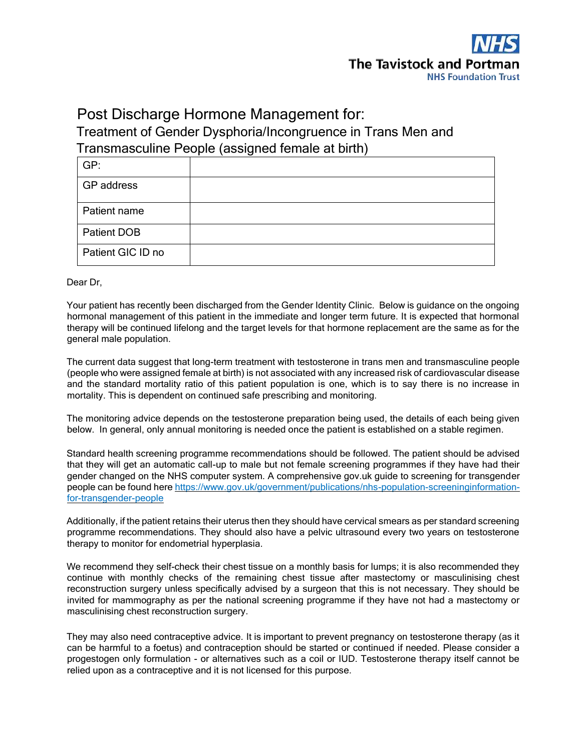

# Post Discharge Hormone Management for: Treatment of Gender Dysphoria/Incongruence in Trans Men and Transmasculine People (assigned female at birth)

| GP:               |  |
|-------------------|--|
| GP address        |  |
| Patient name      |  |
| Patient DOB       |  |
| Patient GIC ID no |  |

Dear Dr,

Your patient has recently been discharged from the Gender Identity Clinic. Below is guidance on the ongoing hormonal management of this patient in the immediate and longer term future. It is expected that hormonal therapy will be continued lifelong and the target levels for that hormone replacement are the same as for the general male population.

The current data suggest that long-term treatment with testosterone in trans men and transmasculine people (people who were assigned female at birth) is not associated with any increased risk of cardiovascular disease and the standard mortality ratio of this patient population is one, which is to say there is no increase in mortality. This is dependent on continued safe prescribing and monitoring.

The monitoring advice depends on the testosterone preparation being used, the details of each being given below. In general, only annual monitoring is needed once the patient is established on a stable regimen.

Standard health screening programme recommendations should be followed. The patient should be advised that they will get an automatic call-up to male but not female screening programmes if they have had their gender changed on the NHS computer system. A comprehensive gov.uk guide to screening for transgender people can be found her[e https://www.gov.uk/government/publications/nhs-population-screeninginformation](https://www.gov.uk/government/publications/nhs-population-screening-information-for-transgender-people)[for-transgender-people](https://www.gov.uk/government/publications/nhs-population-screening-information-for-transgender-people) 

Additionally, if the patient retains their uterus then they should have cervical smears as per standard screening programme recommendations. They should also have a pelvic ultrasound every two years on testosterone therapy to monitor for endometrial hyperplasia.

We recommend they self-check their chest tissue on a monthly basis for lumps; it is also recommended they continue with monthly checks of the remaining chest tissue after mastectomy or masculinising chest reconstruction surgery unless specifically advised by a surgeon that this is not necessary. They should be invited for mammography as per the national screening programme if they have not had a mastectomy or masculinising chest reconstruction surgery.

They may also need contraceptive advice. It is important to prevent pregnancy on testosterone therapy (as it can be harmful to a foetus) and contraception should be started or continued if needed. Please consider a progestogen only formulation - or alternatives such as a coil or IUD. Testosterone therapy itself cannot be relied upon as a contraceptive and it is not licensed for this purpose.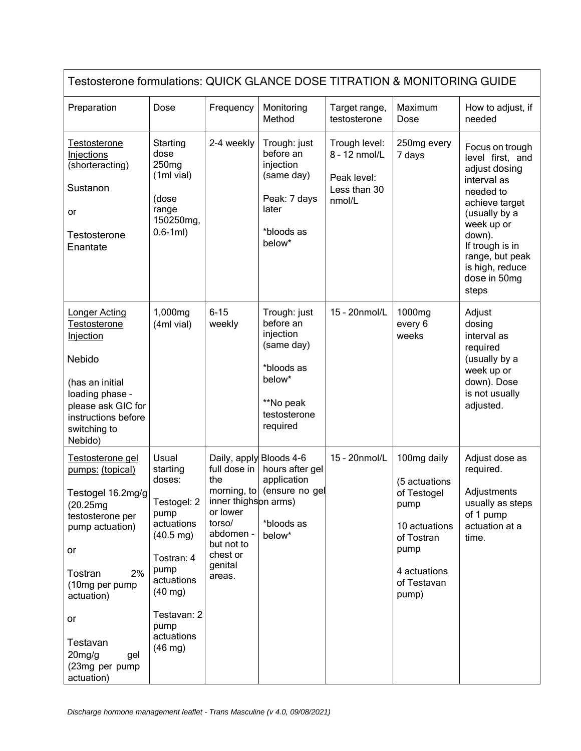| Testosterone formulations: QUICK GLANCE DOSE TITRATION & MONITORING GUIDE                                                                                                                                                                  |                                                                                                                                                                                                    |                                                                                                                                                          |                                                                                                                       |                                                                         |                                                                                                                                    |                                                                                                                                                                                                                               |  |  |
|--------------------------------------------------------------------------------------------------------------------------------------------------------------------------------------------------------------------------------------------|----------------------------------------------------------------------------------------------------------------------------------------------------------------------------------------------------|----------------------------------------------------------------------------------------------------------------------------------------------------------|-----------------------------------------------------------------------------------------------------------------------|-------------------------------------------------------------------------|------------------------------------------------------------------------------------------------------------------------------------|-------------------------------------------------------------------------------------------------------------------------------------------------------------------------------------------------------------------------------|--|--|
| Preparation                                                                                                                                                                                                                                | Dose                                                                                                                                                                                               | Frequency                                                                                                                                                | Monitoring<br>Method                                                                                                  | Target range,<br>testosterone                                           | Maximum<br>Dose                                                                                                                    | How to adjust, if<br>needed                                                                                                                                                                                                   |  |  |
| <u>Testosterone</u><br>Injections<br>(shorteracting)<br>Sustanon<br>or<br>Testosterone<br>Enantate                                                                                                                                         | Starting<br>dose<br>250 <sub>mg</sub><br>(1ml vial)<br>(dose<br>range<br>150250mg,<br>$0.6 - 1ml)$                                                                                                 | 2-4 weekly                                                                                                                                               | Trough: just<br>before an<br>injection<br>(same day)<br>Peak: 7 days<br>later<br>*bloods as<br>below*                 | Trough level:<br>8 - 12 nmol/L<br>Peak level:<br>Less than 30<br>nmol/L | 250mg every<br>7 days                                                                                                              | Focus on trough<br>level first, and<br>adjust dosing<br>interval as<br>needed to<br>achieve target<br>(usually by a<br>week up or<br>down).<br>If trough is in<br>range, but peak<br>is high, reduce<br>dose in 50mg<br>steps |  |  |
| Longer Acting<br>Testosterone<br><b>Injection</b><br>Nebido<br>(has an initial<br>loading phase -<br>please ask GIC for<br>instructions before<br>switching to<br>Nebido)                                                                  | 1,000mg<br>(4ml vial)                                                                                                                                                                              | $6 - 15$<br>weekly                                                                                                                                       | Trough: just<br>before an<br>injection<br>(same day)<br>*bloods as<br>below*<br>**No peak<br>testosterone<br>required | 15 - 20nmol/L                                                           | 1000mg<br>every 6<br>weeks                                                                                                         | Adjust<br>dosing<br>interval as<br>required<br>(usually by a<br>week up or<br>down). Dose<br>is not usually<br>adjusted.                                                                                                      |  |  |
| Testosterone gel<br>pumps: (topical)<br>Testogel 16.2mg/g<br>(20.25mg)<br>testosterone per<br>pump actuation)<br>or<br>2%<br>Tostran<br>(10mg per pump<br>actuation)<br>or<br>Testavan<br>$20$ mg/g<br>gel<br>(23mg per pump<br>actuation) | Usual<br>starting<br>doses:<br>Testogel: 2<br>pump<br>actuations<br>$(40.5 \text{ mg})$<br>Tostran: 4<br>pump<br>actuations<br>$(40$ mg)<br>Testavan: 2<br>pump<br>actuations<br>$(46 \text{ mg})$ | Daily, apply Bloods 4-6<br>full dose in<br>the<br>inner thighson arms)<br>or lower<br>torso/<br>abdomen -<br>but not to<br>chest or<br>genital<br>areas. | hours after gel<br>application<br>morning, to (ensure no gel<br>*bloods as<br>below*                                  | 15 - 20nmol/L                                                           | 100mg daily<br>(5 actuations<br>of Testogel<br>pump<br>10 actuations<br>of Tostran<br>pump<br>4 actuations<br>of Testavan<br>pump) | Adjust dose as<br>required.<br>Adjustments<br>usually as steps<br>of 1 pump<br>actuation at a<br>time.                                                                                                                        |  |  |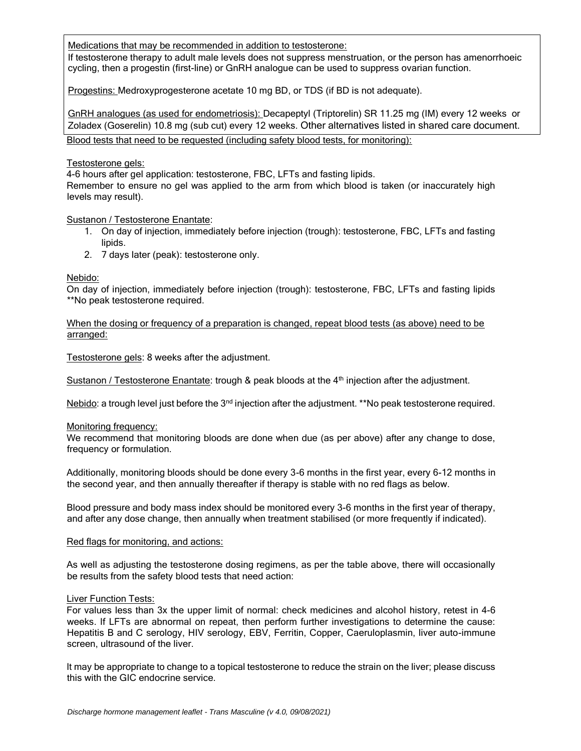Medications that may be recommended in addition to testosterone:

If testosterone therapy to adult male levels does not suppress menstruation, or the person has amenorrhoeic cycling, then a progestin (first-line) or GnRH analogue can be used to suppress ovarian function.

Progestins: Medroxyprogesterone acetate 10 mg BD, or TDS (if BD is not adequate).

GnRH analogues (as used for endometriosis): Decapeptyl (Triptorelin) SR 11.25 mg (IM) every 12 weeks or Zoladex (Goserelin) 10.8 mg (sub cut) every 12 weeks. Other alternatives listed in shared care document. Blood tests that need to be requested (including safety blood tests, for monitoring):

#### Testosterone gels:

4-6 hours after gel application: testosterone, FBC, LFTs and fasting lipids.

Remember to ensure no gel was applied to the arm from which blood is taken (or inaccurately high levels may result).

## Sustanon / Testosterone Enantate:

- 1. On day of injection, immediately before injection (trough): testosterone, FBC, LFTs and fasting lipids.
- 2. 7 days later (peak): testosterone only.

## Nebido:

On day of injection, immediately before injection (trough): testosterone, FBC, LFTs and fasting lipids \*\*No peak testosterone required.

When the dosing or frequency of a preparation is changed, repeat blood tests (as above) need to be arranged:

Testosterone gels: 8 weeks after the adjustment.

Sustanon / Testosterone Enantate: trough & peak bloods at the 4<sup>th</sup> injection after the adjustment.

Nebido: a trough level just before the  $3<sup>nd</sup>$  injection after the adjustment. \*\*No peak testosterone required.

#### Monitoring frequency:

We recommend that monitoring bloods are done when due (as per above) after any change to dose, frequency or formulation.

Additionally, monitoring bloods should be done every 3-6 months in the first year, every 6-12 months in the second year, and then annually thereafter if therapy is stable with no red flags as below.

Blood pressure and body mass index should be monitored every 3-6 months in the first year of therapy, and after any dose change, then annually when treatment stabilised (or more frequently if indicated).

#### Red flags for monitoring, and actions:

As well as adjusting the testosterone dosing regimens, as per the table above, there will occasionally be results from the safety blood tests that need action:

#### Liver Function Tests:

For values less than 3x the upper limit of normal: check medicines and alcohol history, retest in 4-6 weeks. If LFTs are abnormal on repeat, then perform further investigations to determine the cause: Hepatitis B and C serology, HIV serology, EBV, Ferritin, Copper, Caeruloplasmin, liver auto-immune screen, ultrasound of the liver.

It may be appropriate to change to a topical testosterone to reduce the strain on the liver; please discuss this with the GIC endocrine service.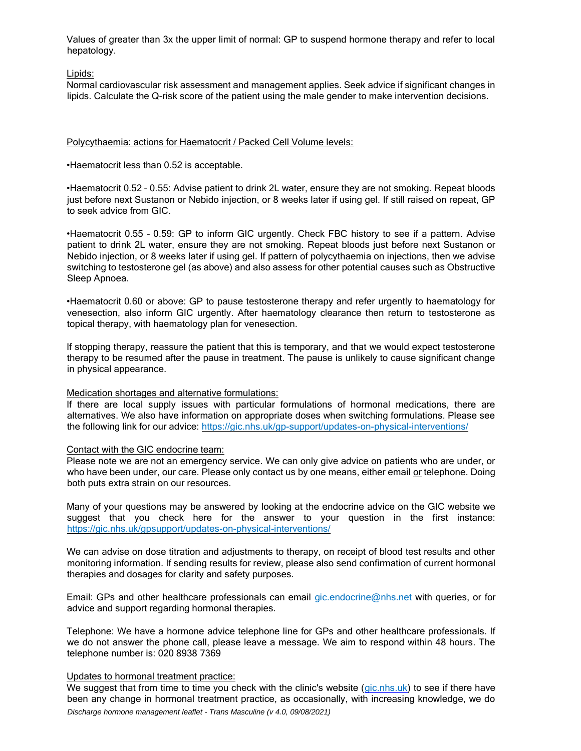Values of greater than 3x the upper limit of normal: GP to suspend hormone therapy and refer to local hepatology.

## Lipids:

Normal cardiovascular risk assessment and management applies. Seek advice if significant changes in lipids. Calculate the Q-risk score of the patient using the male gender to make intervention decisions.

## Polycythaemia: actions for Haematocrit / Packed Cell Volume levels:

•Haematocrit less than 0.52 is acceptable.

•Haematocrit 0.52 – 0.55: Advise patient to drink 2L water, ensure they are not smoking. Repeat bloods just before next Sustanon or Nebido injection, or 8 weeks later if using gel. If still raised on repeat, GP to seek advice from GIC.

•Haematocrit 0.55 – 0.59: GP to inform GIC urgently. Check FBC history to see if a pattern. Advise patient to drink 2L water, ensure they are not smoking. Repeat bloods just before next Sustanon or Nebido injection, or 8 weeks later if using gel. If pattern of polycythaemia on injections, then we advise switching to testosterone gel (as above) and also assess for other potential causes such as Obstructive Sleep Apnoea.

•Haematocrit 0.60 or above: GP to pause testosterone therapy and refer urgently to haematology for venesection, also inform GIC urgently. After haematology clearance then return to testosterone as topical therapy, with haematology plan for venesection.

If stopping therapy, reassure the patient that this is temporary, and that we would expect testosterone therapy to be resumed after the pause in treatment. The pause is unlikely to cause significant change in physical appearance.

#### Medication shortages and alternative formulations:

If there are local supply issues with particular formulations of hormonal medications, there are alternatives. We also have information on appropriate doses when switching formulations. Please see the following link for our advice:<https://gic.nhs.uk/gp-support/updates-on-physical-interventions/>

#### Contact with the GIC endocrine team:

Please note we are not an emergency service. We can only give advice on patients who are under, or who have been under, our care. Please only contact us by one means, either email or telephone. Doing both puts extra strain on our resources.

Many of your questions may be answered by looking at the endocrine advice on the GIC website we suggest that you check here for the answer to your question in the first instance: [https://gic.nhs.uk/gpsupport/updates-on-physical-interventions/](https://gic.nhs.uk/gp-support/updates-on-physical-interventions/)

We can advise on dose titration and adjustments to therapy, on receipt of blood test results and other monitoring information. If sending results for review, please also send confirmation of current hormonal therapies and dosages for clarity and safety purposes.

Email: GPs and other healthcare professionals can email gic.endocrine@nhs.net with queries, or for advice and support regarding hormonal therapies.

Telephone: We have a hormone advice telephone line for GPs and other healthcare professionals. If we do not answer the phone call, please leave a message. We aim to respond within 48 hours. The telephone number is: 020 8938 7369

#### Updates to hormonal treatment practice:

*Discharge hormone management leaflet - Trans Masculine (v 4.0, 09/08/2021)* We suggest that from time to time you check with the clinic's website (gic.nhs.uk) to see if there have been any change in hormonal treatment practice, as occasionally, with increasing knowledge, we do